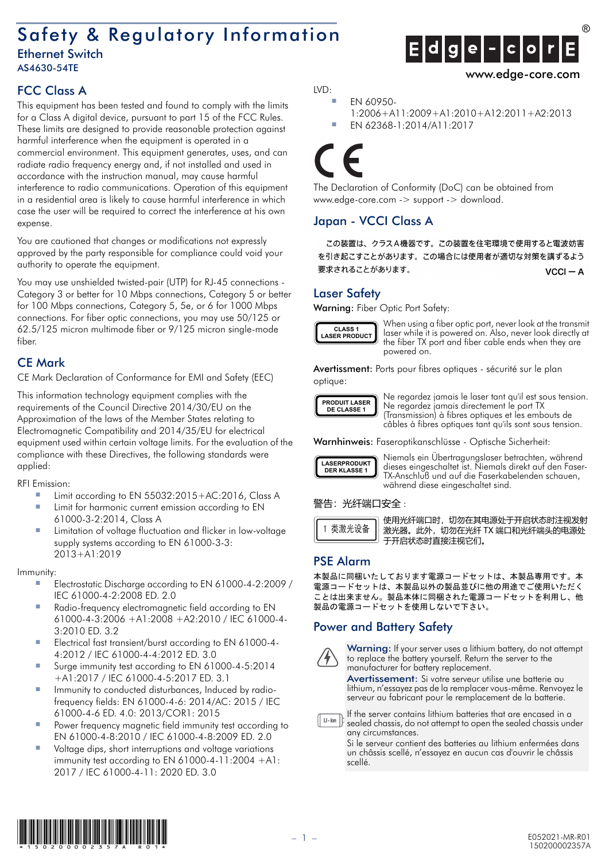# Safety & Regulatory Information

#### Ethernet Switch AS4630-54TE

# FCC Class A

This equipment has been tested and found to comply with the limits for a Class A digital device, pursuant to part 15 of the FCC Rules. These limits are designed to provide reasonable protection against harmful interference when the equipment is operated in a commercial environment. This equipment generates, uses, and can radiate radio frequency energy and, if not installed and used in accordance with the instruction manual, may cause harmful interference to radio communications. Operation of this equipment in a residential area is likely to cause harmful interference in which case the user will be required to correct the interference at his own expense.

You are cautioned that changes or modifications not expressly approved by the party responsible for compliance could void your authority to operate the equipment.

You may use unshielded twisted-pair (UTP) for RJ-45 connections - Category 3 or better for 10 Mbps connections, Category 5 or better for 100 Mbps connections, Category 5, 5e, or 6 for 1000 Mbps connections. For fiber optic connections, you may use 50/125 or 62.5/125 micron multimode fiber or 9/125 micron single-mode fiber.

# CE Mark

CE Mark Declaration of Conformance for EMI and Safety (EEC)

This information technology equipment complies with the requirements of the Council Directive 2014/30/EU on the Approximation of the laws of the Member States relating to Electromagnetic Compatibility and 2014/35/EU for electrical equipment used within certain voltage limits. For the evaluation of the compliance with these Directives, the following standards were applied:

RFI Emission:

- Limit according to EN 55032:2015+AC:2016, Class A
- Limit for harmonic current emission according to EN 61000-3-2:2014, Class A
- Limitation of voltage fluctuation and flicker in low-voltage supply systems according to EN 61000-3-3: 2013+A1:2019

#### Immunity:

- Electrostatic Discharge according to EN 61000-4-2:2009 / IEC 61000-4-2:2008 ED. 2.0
- Radio-frequency electromagnetic field according to EN 61000-4-3:2006 +A1:2008 +A2:2010 / IEC 61000-4- 3:2010 ED. 3.2
- Electrical fast transient/burst according to EN 61000-4-4:2012 / IEC 61000-4-4:2012 ED. 3.0
- Surge immunity test according to EN 61000-4-5:2014 +A1:2017 / IEC 61000-4-5:2017 ED. 3.1
- Immunity to conducted disturbances, Induced by radiofrequency fields: EN 61000-4-6: 2014/AC: 2015 / IEC 61000-4-6 ED. 4.0: 2013/COR1: 2015
- Power frequency magnetic field immunity test according to EN 61000-4-8:2010 / IEC 61000-4-8:2009 ED. 2.0
- Voltage dips, short interruptions and voltage variations immunity test according to EN 61000-4-11:2004 +A1: 2017 / IEC 61000-4-11: 2020 ED. 3.0

LVD:

```
■ EN 60950-
1:2006+A11:2009+A1:2010+A12:2011+A2:2013
```
**Edge-cor** 

```
■ EN 62368-1:2014/A11:2017
```
The Declaration of Conformity (DoC) can be obtained from www.edge-core.com -> support -> download.

# Japan - VCCI Class A

この装置は、クラスA機器です。この装置を住宅環境で使用すると電波妨害 を引き起こすことがあります。この場合には使用者が適切な対策を講ずるよう 要求されることがあります。  $VCCI - A$ 

#### Laser Safety

Warning: Fiber Optic Port Safety:



When using a fiber optic port, never look at the transmit laser while it is powered on. Also, never look directly at the fiber TX port and fiber cable ends when they are powered on.

Avertissment: Ports pour fibres optiques - sécurité sur le plan optique:



Ne regardez jamais le laser tant qu'il est sous tension. Ne regardez jamais directement le port TX (Transmission) à fibres optiques et les embouts de câbles à fibres optiques tant qu'ils sont sous tension.

Warnhinweis: Faseroptikanschlüsse - Optische Sicherheit:



Niemals ein Übertragungslaser betrachten, während dieses eingeschaltet ist. Niemals direkt auf den Faser-TX-Anschluß und auf die Faserkabelenden schauen, während diese eingeschaltet sind.

#### 警告:光纤端口安全:



使用光纤端口时,切勿在其电源处于开启状态时注视发射 激光器。此外,切勿在光纤 TX 端口和光纤端头的电源处 于开启状态时直接注视它们。

### PSE Alarm

本製品に同梱いたしております電源コードセットは、本製品専用です。本 電源コードセットは、本製品以外の製品並びに他の用途でご使用いただく ことは出来ません。製品本体に同梱された電源コードセットを利用し、他 製品の電源コードセットを使用しないで下さい。

## Power and Battery Safety



Warning: If your server uses a lithium battery, do not attempt to replace the battery yourself. Return the server to the manufacturer for battery replacement.

Avertissement: Si votre serveur utilise une batterie au lithium, n'essayez pas de la remplacer vous-même. Renvoyez le serveur au fabricant pour le remplacement de la batterie.

If the server contains lithium batteries that are encased in a  $\Box$ -ion  $\Box$ sealed chassis, do not attempt to open the sealed chassis under

any circumstances. Si le serveur contient des batteries au lithium enfermées dans un châssis scellé, n'essayez en aucun cas d'ouvrir le châssis scellé.



www.edge-core.com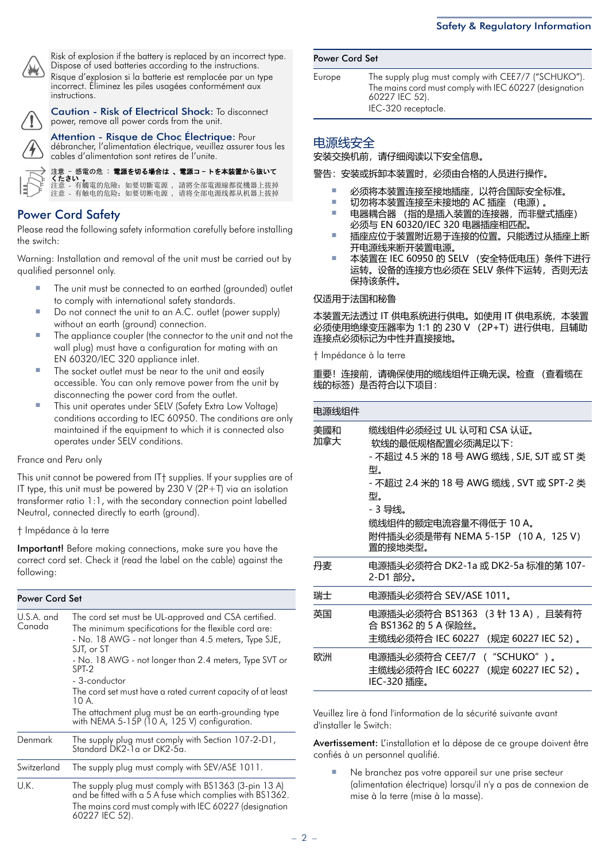

Risk of explosion if the battery is replaced by an incorrect type. Dispose of used batteries according to the instructions. Risque d'explosion si la batterie est remplacée par un type incorrect. Éliminez les piles usagées conformément aux instructions.

Caution - Risk of Electrical Shock: To disconnect power, remove all power cords from the unit.

Attention - Risque de Choc Électrique: Pour débrancher, l'alimentation électrique, veuillez assurer tous les cables d'alimentation sont retires de l'unite.

感電の危: 電源を切る場合は、電源コートを本装置から抜いて くたさい 。 電的危險: 如要切斷電源 , 請將全部電源線都從機器上拔掉<br>由的危险: 如要切断电源 , 请将全部由源线都从机器上拔掉

### Power Cord Safety

Please read the following safety information carefully before installing the switch:

Warning: Installation and removal of the unit must be carried out by qualified personnel only.

- The unit must be connected to an earthed (grounded) outlet to comply with international safety standards.
- Do not connect the unit to an A.C. outlet (power supply) without an earth (ground) connection.
- The appliance coupler (the connector to the unit and not the wall plug) must have a configuration for mating with an EN 60320/IEC 320 appliance inlet.
- The socket outlet must be near to the unit and easily accessible. You can only remove power from the unit by disconnecting the power cord from the outlet.
- This unit operates under SELV (Safety Extra Low Voltage) conditions according to IEC 60950. The conditions are only maintained if the equipment to which it is connected also operates under SELV conditions.

#### France and Peru only

This unit cannot be powered from IT† supplies. If your supplies are of IT type, this unit must be powered by  $230$  V ( $2P+T$ ) via an isolation transformer ratio 1:1, with the secondary connection point labelled Neutral, connected directly to earth (ground).

#### † Impédance à la terre

Important! Before making connections, make sure you have the correct cord set. Check it (read the label on the cable) against the following:

| <b>Power Cord Set</b> |                                                                                                                                                                                                                                                                                                                                                                                                                                                       |  |  |  |  |
|-----------------------|-------------------------------------------------------------------------------------------------------------------------------------------------------------------------------------------------------------------------------------------------------------------------------------------------------------------------------------------------------------------------------------------------------------------------------------------------------|--|--|--|--|
| U.S.A. and<br>Canada  | The cord set must be UL-approved and CSA certified.<br>The minimum specifications for the flexible cord are:<br>- No. 18 AWG - not longer than 4.5 meters, Type SJE,<br>SJT, or ST<br>- No. 18 AWG - not longer than 2.4 meters, Type SVT or<br>SPT-2<br>- 3-conductor<br>The cord set must have a rated current capacity of at least<br>10 A.<br>The attachment plug must be an earth-grounding type<br>with NEMA 5-15P (10 A, 125 V) configuration. |  |  |  |  |
| Denmark               | The supply plug must comply with Section 107-2-D1,<br>Standard DK2-1a or DK2-5a.                                                                                                                                                                                                                                                                                                                                                                      |  |  |  |  |
| Switzerland           | The supply plug must comply with SEV/ASE 1011.                                                                                                                                                                                                                                                                                                                                                                                                        |  |  |  |  |
| U.K.                  | The supply plug must comply with BS1363 (3-pin 13 A)<br>and be fitted with a 5 A fuse which complies with BS1362.<br>The mains cord must comply with IEC 60227 (designation<br>60227 IEC 52).                                                                                                                                                                                                                                                         |  |  |  |  |

| <b>Power Cord Set</b> |  |  |
|-----------------------|--|--|
|-----------------------|--|--|

Europe The supply plug must comply with CEE7/7 ("SCHUKO"). The mains cord must comply with IEC 60227 (designation 60227 IEC 52). IEC-320 receptacle.

#### 电源线安全

安装交换机前,请仔细阅读以下安全信息。

警告:安装或拆卸本装置时,必须由合格的人员进行操作。

- 必须将本装置连接至接地插座, 以符合国际安全标准。
- 切勿将本装置连接至未接地的 AC 插座 (电源)。
- 电器耦合器 (指的是插入装置的连接器,而非壁式插座) 必须与 EN 60320/IEC 320 电器插座相匹配。
- 插座应位于装置附近易于连接的位置。只能透过从插座上断 开电源线来断开装置电源。
- 本装置在 IEC 60950 的 SELV (安全特低电压) 条件下进行 运转。设备的连接方也必须在 SELV 条件下运转,否则无法 保持该条件。

#### 仅适用于法国和秘鲁

本装置无法透过 IT 供电系统进行供电。如使用 IT 供电系统, 本装置 必须使用绝缘变压器率为 1:1 的 230 V (2P+T) 进行供电, 且辅助 连接点必须标记为中性并直接接地。

† Impédance à la terre

重要!连接前,请确保使用的缆线组件正确无误。检查 (查看缆在 线的标签)是否符合以下项目:

| 电源线组件      |                                                                                                                                                                                                                                       |
|------------|---------------------------------------------------------------------------------------------------------------------------------------------------------------------------------------------------------------------------------------|
| 美國和<br>加拿大 | 缆线组件必须经过 UL 认可和 CSA 认证。<br>软线的最低规格配置必须满足以下:<br>- 不超过 4.5 米的 18 号 AWG 缆线 , SJE, SJT 或 ST 类<br>型.<br>- 不超过 2.4 米的 18 号 AWG 缆线 , SVT 或 SPT-2 类<br>型.<br>- 3 导线。<br>缆线组件的额定电流容量不得低于 10 A。<br>附件插头必须是带有 NEMA 5-15P (10 A,125 V)<br>置的接地类型。 |
| 丹麦         | 电源插头必须符合 DK2-1a 或 DK2-5a 标准的第 107-<br>2-D1部分。                                                                                                                                                                                         |
| 瑞士         | 电源插头必须符合 SEV/ASE 1011。                                                                                                                                                                                                                |
| 英国         | 电源插头必须符合 BS1363 (3 针 13 A),且装有符<br>合 BS1362 的 5 A 保险丝。<br>主缆线必须符合 IEC 60227 (规定 60227 IEC 52)。                                                                                                                                        |
| 欧洲         | 电源插头必须符合 CEE7/7 ("SCHUKO")。<br>主缆线必须符合 IEC 60227 (规定 60227 IEC 52)。<br>IEC-320 插座。                                                                                                                                                    |

Veuillez lire à fond l'information de la sécurité suivante avant d'installer le Switch:

Avertissement: L'installation et la dépose de ce groupe doivent être confiés à un personnel qualifié.

Ne branchez pas votre appareil sur une prise secteur (alimentation électrique) lorsqu'il n'y a pas de connexion de mise à la terre (mise à la masse).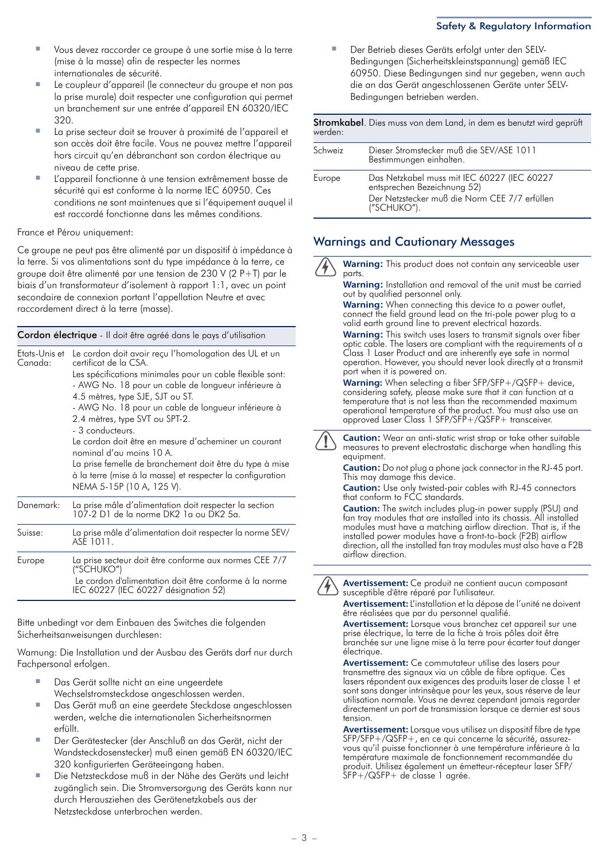#### Safety & Regulatory Information

- Vous devez raccorder ce groupe à une sortie mise à la terre (mise à la masse) afin de respecter les normes internationales de sécurité.
- Le coupleur d'appareil (le connecteur du groupe et non pas la prise murale) doit respecter une configuration qui permet un branchement sur une entrée d'appareil EN 60320/IEC 320.
- La prise secteur doit se trouver à proximité de l'appareil et son accès doit être facile. Vous ne pouvez mettre l'appareil hors circuit qu'en débranchant son cordon électrique au niveau de cette prise.
- L'appareil fonctionne à une tension extrêmement basse de sécurité qui est conforme à la norme IEC 60950. Ces conditions ne sont maintenues que si l'équipement auquel il est raccordé fonctionne dans les mêmes conditions.

France et Pérou uniquement:

Ce groupe ne peut pas être alimenté par un dispositif à impédance à la terre. Si vos alimentations sont du type impédance à la terre, ce groupe doit être alimenté par une tension de 230 V (2 P+T) par le biais d'un transformateur d'isolement à rapport 1:1, avec un point secondaire de connexion portant l'appellation Neutre et avec raccordement direct à la terre (masse).

Cordon électrique - Il doit être agréé dans le pays d'utilisation

| Etats-Unis et<br>Canada: | Le cordon doit avoir reçu l'homologation des UL et un<br>certificat de la CSA.<br>Les spécifications minimales pour un cable flexible sont:<br>- AWG No. 18 pour un cable de longueur inférieure à<br>4.5 mètres, type SJE, SJT ou ST.<br>- AWG No. 18 pour un cable de longueur inférieure à<br>2.4 mètres, type SVT ou SPT-2.<br>- 3 conducteurs.<br>Le cordon doit être en mesure d'acheminer un courant<br>nominal d'au moins 10 A.<br>La prise femelle de branchement doit être du type à mise<br>à la terre (mise à la masse) et respecter la configuration<br>NEMA 5-15P (10 A, 125 V). |
|--------------------------|------------------------------------------------------------------------------------------------------------------------------------------------------------------------------------------------------------------------------------------------------------------------------------------------------------------------------------------------------------------------------------------------------------------------------------------------------------------------------------------------------------------------------------------------------------------------------------------------|
| Danemark:                | La prise mâle d'alimentation doit respecter la section<br>107-2 D1 de la norme DK2 1a ou DK2 5a.                                                                                                                                                                                                                                                                                                                                                                                                                                                                                               |
| Suisse:                  | La prise mâle d'alimentation doit respecter la norme SEV/<br>ASE 1011.                                                                                                                                                                                                                                                                                                                                                                                                                                                                                                                         |
| Europe                   | La prise secteur doit être conforme aux normes CEE 7/7<br>("SCHUKO")<br>Le cordon d'alimentation doit être conforme à la norme<br>IEC 60227 (IEC 60227 désignation 52)                                                                                                                                                                                                                                                                                                                                                                                                                         |

Bitte unbedingt vor dem Einbauen des Switches die folgenden Sicherheitsanweisungen durchlesen:

Warnung: Die Installation und der Ausbau des Geräts darf nur durch Fachpersonal erfolgen.

- Das Gerät sollte nicht an eine ungeerdete Wechselstromsteckdose angeschlossen werden.
- Das Gerät muß an eine geerdete Steckdose angeschlossen werden, welche die internationalen Sicherheitsnormen erfüllt.
- Der Gerätestecker (der Anschluß an das Gerät, nicht der Wandsteckdosenstecker) muß einen gemäß EN 60320/IEC 320 konfigurierten Geräteeingang haben.
- Die Netzsteckdose muß in der Nähe des Geräts und leicht zugänglich sein. Die Stromversorgung des Geräts kann nur durch Herausziehen des Gerätenetzkabels aus der Netzsteckdose unterbrochen werden.

Der Betrieb dieses Geräts erfolgt unter den SELV-Bedingungen (Sicherheitskleinstspannung) gemäß IEC 60950. Diese Bedingungen sind nur gegeben, wenn auch die an das Gerät angeschlossenen Geräte unter SELV-Bedingungen betrieben werden.

| werden: | <b>Stromkabel</b> . Dies muss von dem Land, in dem es benutzt wird geprüft                                                                 |
|---------|--------------------------------------------------------------------------------------------------------------------------------------------|
| Schweiz | Dieser Stromstecker muß die SEV/ASE 1011<br>Bestimmungen einhalten.                                                                        |
| Europe  | Das Netzkabel muss mit IEC 60227 (IEC 60227<br>entsprechen Bezeichnung 52)<br>Der Netzstecker muß die Norm CEE 7/7 erfüllen<br>("SCHUKO"). |

# Warnings and Cautionary Messages

**Warning:** This product does not contain any serviceable user parts **Warning:** Installation and removal of the unit must be carried out by qualified personnel only. **Warning:** When connecting this device to a power outlet, connect the field ground lead on the tri-pole power plug to a valid earth ground line to prevent electrical hazards. **Warning:** This switch uses lasers to transmit signals over fiber optic cable. The lasers are compliant with the requirements of a Class 1 Laser Product and are inherently eye safe in normal operation. However, you should never look directly at a transmit port when it is powered on. **Warning:** When selecting a fiber SFP/SFP+/QSFP+ device, considering safety, please make sure that it can function at a temperature that is not less than the recommended maximum operational temperature of the product. You must also use an approved Laser Class 1 SFP/SFP+/QSFP+ transceiver. **Caution:** Wear an anti-static wrist strap or take other suitable measures to prevent electrostatic discharge when handling this equipment. **Caution:** Do not plug a phone jack connector in the RJ-45 port. This may damage this device. **Caution:** Use only twisted-pair cables with RJ-45 connectors that conform to FCC standards. **Caution:** The switch includes plug-in power supply (PSU) and fan tray modules that are installed into its chassis. All installed modules must have a matching airflow direction. That is, if the installed power modules have a front-to-back (F2B) airflow direction, all the installed fan tray modules must also have a F2B airflow direction. **Avertissement:** Ce produit ne contient aucun composant susceptible d'être réparé par l'utilisateur. **Avertissement:** L'installation et la dépose de l'unité ne doivent être réalisées que par du personnel qualifié.

**Avertissement:** Lorsque vous branchez cet appareil sur une prise électrique, la terre de la fiche à trois pôles doit être branchée sur une ligne mise à la terre pour écarter tout danger électrique.

**Avertissement:** Ce commutateur utilise des lasers pour transmettre des signaux via un câble de fibre optique. Ces lasers répondent aux exigences des produits laser de classe 1 et sont sans danger intrinsèque pour les yeux, sous réserve de leur utilisation normale. Vous ne devrez cependant jamais regarder directement un port de transmission lorsque ce dernier est sous tension.

**Avertissement:** Lorsque vous utilisez un dispositif fibre de type SFP/SFP+/QSFP+, en ce qui concerne la sécurité, assurezvous qu'il puisse fonctionner à une température inférieure à la température maximale de fonctionnement recommandée du produit. Utilisez également un émetteur-récepteur laser SFP/ SFP+/QSFP+ de classe 1 agrée.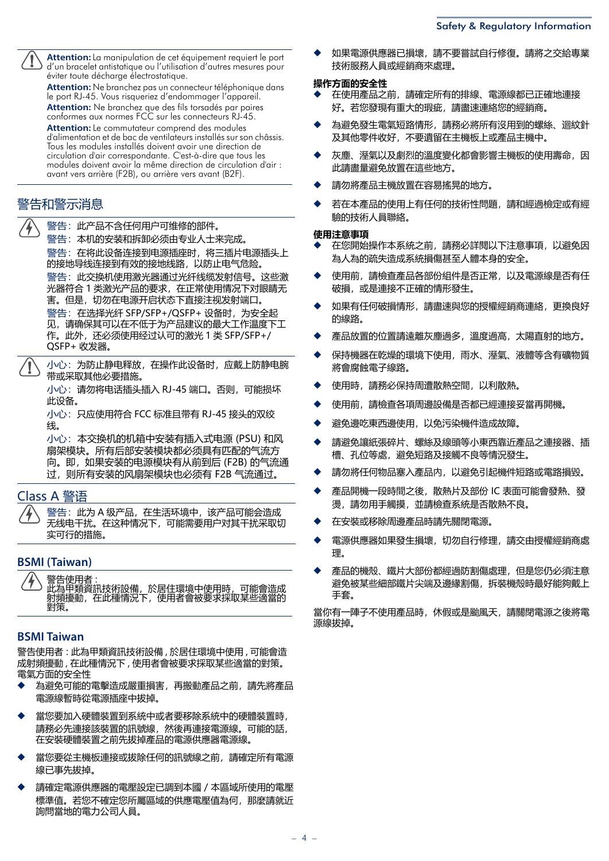**Attention:** La manipulation de cet équipement requiert le port d'un bracelet antistatique ou l'utilisation d'autres mesures pour éviter toute décharge électrostatique.

**Attention:** Ne branchez pas un connecteur téléphonique dans le port RJ-45. Vous risqueriez d'endommager l'appareil. **Attention:** Ne branchez que des fils torsadés par paires conformes aux normes FCC sur les connecteurs RJ-45.

**Attention:** Le commutateur comprend des modules d'alimentation et de bac de ventilateurs installés sur son châssis. Tous les modules installés doivent avoir une direction de circulation d'air correspondante. C'est-à-dire que tous les modules doivent avoir la même direction de circulation d'air : avant vers arrière (F2B), ou arrière vers avant (B2F).

# 警告和警示消息

警告:此产品不含任何用户可维修的部件。

警告:本机的安装和拆卸必须由专业人士来完成。

警告:在将此设备连接到电源插座时,将三插片电源插头上 的接地导线连接到有效的接地线路,以防止电气危险。 警告: 此交换机使用激光器通过光纤线缆发射信号。这些激

光器符合 1 类激光产品的要求,在正常使用情况下对眼睛无 害。但是,切勿在电源开启状态下直接注视发射端口。

警告: 在选择光纤 SFP/SFP+/QSFP+ 设备时,为安全起 见,请确保其可以在不低于为产品建议的最大工作温度下工 作。此外,还必须使用经过认可的激光 1 类 SFP/SFP+/ QSFP+ 收发器。

小心:为防止静电释放,在操作此设备时,应戴上防静电腕 带或采取其他必要措施。

小心:请勿将电话插头插入 RJ-45 端口。否则,可能损坏 此设备。

小心: 只应使用符合 FCC 标准且带有 RJ-45 接头的双绞 线。

小心:本交换机的机箱中安装有插入式电源 (PSU) 和风 扇架模块。所有后部安装模块都必须具有匹配的气流方 向。即,如果安装的电源模块有从前到后 (F2B) 的气流通 过,则所有安装的风扇架模块也必须有 F2B 气流通过。

# Class A 警语

警告: 此为 A 级产品, 在生活环境中, 该产品可能会造成 无线电干扰。在这种情况下,可能需要用户对其干扰采取切 实可行的措施。

## **BSMI (Taiwan)**

告使用者

此為甲類資訊技術設備,於居住環境中使用時,可能會造成 射頻擾動,在此種情況下,使用者會被要求採取某些適當的 對策。

# **BSMI Taiwan**

警告使用者 : 此為甲類資訊技術設備 , 於居住環境中使用 , 可能會造 成射頻擾動 , 在此種情況下 , 使用者會被要求採取某些適當的對策。 電氣方面的安全性

- 為避免可能的電擊造成嚴重損害,再搬動產品之前,請先將產品 電源線暫時從電源插座中拔掉。
- 當您要加入硬體裝置到系統中或者要移除系統中的硬體裝置時, 請務必先連接該裝置的訊號線,然後再連接電源線。可能的話, 在安裝硬體裝置之前先拔掉產品的電源供應器電源線。
- 當您要從主機板連接或拔除任何的訊號線之前,請確定所有電源 線已事先拔掉。
- 請確定電源供應器的電壓設定已調到本國 / 本區域所使用的電壓 標準值。若您不確定您所屬區域的供應電壓值為何,那麼請就近 詢問當地的電力公司人員。

如果電源供應器已損壞,請不要嘗試自行修復。請將之交給專業 技術服務人員或經銷商來處理。

#### **操作方面的安全性**

- ◆ 在使用產品之前,請確定所有的排線、電源線都已正確地連接 好。若您發現有重大的瑕疵,請盡速連絡您的經銷商。
- 為避免發生電氣短路情形,請務必將所有沒用到的螺絲、迴紋針 及其他零件收好,不要遺留在主機板上或產品主機中。
- 灰塵、溼氣以及劇烈的溫度變化都會影響主機板的使用壽命,因 此請盡量避免放置在這些地方。
- 請勿將產品主機放置在容易搖晃的地方。
- 若在本產品的使用上有任何的技術性問題,請和經過檢定或有經 驗的技術人員聯絡。

#### **使用注意事項**

- ◆ 在您開始操作本系統之前,請務必詳閱以下注意事項,以避免因 為人為的疏失造成系統損傷甚至人體本身的安全。
- ◆ 使用前,請檢查產品各部份組件是否正常,以及電源線是否有任 破損,或是連接不正確的情形發生。
- 如果有任何破損情形,請盡速與您的授權經銷商連絡,更換良好 的線路。
- 產品放置的位置請遠離灰塵過多,溫度過高,太陽直射的地方。
- 保持機器在乾燥的環境下使用,雨水、溼氣、液體等含有礦物質 將會腐蝕電子線路。
- 使用時,請務必保持周遭散熱空間,以利散熱。
- ◆ 使用前,請檢查各項周邊設備是否都已經連接妥當再開機。
- 避免邊吃東西邊使用,以免污染機件造成故障。
- 請避免讓紙張碎片、螺絲及線頭等小東西靠近產品之連接器、插 槽、孔位等處,避免短路及接觸不良等情況發生。
- 請勿將任何物品塞入產品内,以避免引起機件短路或電路損毀。
- 產品開機一段時間之後, 散熱片及部份 IC 表面可能會發熱、發 燙,請勿用手觸摸,並請檢查系統是否散熱不良。
- 在安裝或移除周邊產品時請先關閉電源。
- 電源供應器如果發生損壞,切勿自行修理,請交由授權經銷商處 理。
- 產品的機殼、鐵片大部份都經過防割傷處理,但是您仍必須注意 避免被某些細部鐵片尖端及邊緣割傷,拆裝機殼時最好能夠戴上 手套。

當你有一陣子不使用產品時,休假或是颱風天,請關閉電源之後將電 源線拔掉。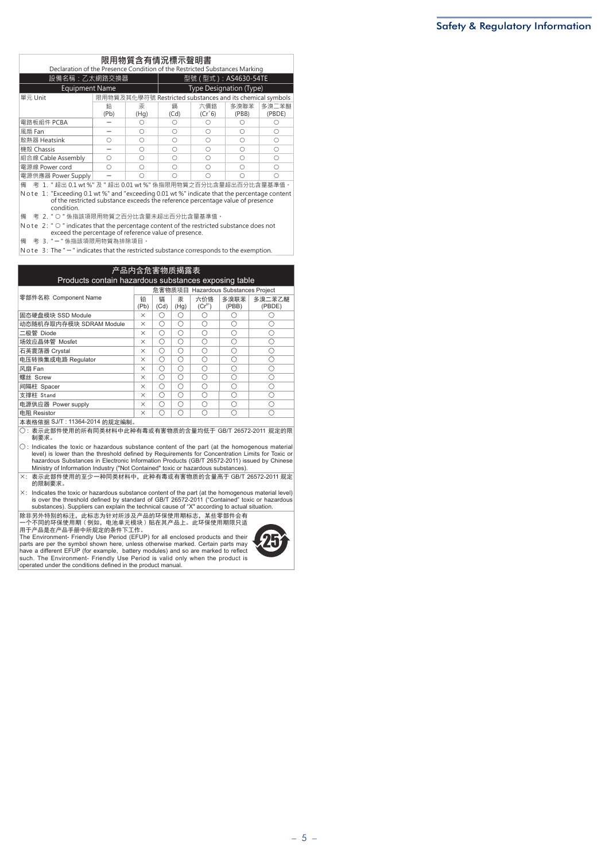| 限用物質含有情況標示聲明書<br>Declaration of the Presence Condition of the Restricted Substances Marking                                                                                |                         |           |                         |                                                           |               |                 |  |  |
|----------------------------------------------------------------------------------------------------------------------------------------------------------------------------|-------------------------|-----------|-------------------------|-----------------------------------------------------------|---------------|-----------------|--|--|
| 設備名稱:乙太網路交換器                                                                                                                                                               |                         |           | 型號 ( 型式 ) : AS4630-54TE |                                                           |               |                 |  |  |
| <b>Equipment Name</b>                                                                                                                                                      | Type Designation (Type) |           |                         |                                                           |               |                 |  |  |
| 單元 Unit                                                                                                                                                                    |                         |           |                         | 限用物質及其化學符號 Restricted substances and its chemical symbols |               |                 |  |  |
|                                                                                                                                                                            | 鉛<br>(Pb)               | 汞<br>(Hq) | 鎘<br>(Cd)               | 六價鉻<br>$(Cr^6)$                                           | 多溴聯苯<br>(PBB) | 多溴二苯醚<br>(PBDE) |  |  |
| 電路板組件 PCBA                                                                                                                                                                 |                         |           | ∩                       |                                                           |               |                 |  |  |
| 風扇 Fan                                                                                                                                                                     |                         |           | ∩                       |                                                           | ∩             | ∩               |  |  |
| 散熱器 Heatsink                                                                                                                                                               | ∩                       | ∩         | ∩                       | ∩                                                         | ∩             | ∩               |  |  |
| 機殼 Chassis                                                                                                                                                                 |                         |           | ∩                       |                                                           | ∩             | ∩               |  |  |
| 組合線 Cable Assembly                                                                                                                                                         | ∩                       |           | ∩                       |                                                           | ∩             | ∩               |  |  |
| 電源線 Power cord                                                                                                                                                             | ∩                       |           | ∩                       |                                                           | ∩             | ∩               |  |  |
| 電源供應器 Power Supply                                                                                                                                                         |                         |           | ∩                       |                                                           | ◠             | ∩               |  |  |
| 考 1. "超出 0.1 wt %" 及 "超出 0.01 wt %" 係指限用物質之百分比含量超出百分比含量基準值。<br>備<br>$N \sim 1$ . "Eveneding 0.1 ut $9''$ and "eveneding 0.01 ut $9''$ indicate that the perceptage content |                         |           |                         |                                                           |               |                 |  |  |

N o t e 1: "Exceeding 0.1 wt %" and "exceeding 0.01 wt %" indicate that the percentage content<br>of the restricted substance exceeds the reference percentage value of presence condition.

<mark>備 考 2. "○"係指該項限用物質之百分比含量未超出百分比含量基準值</mark>。

N o t e 2: " O " indicates that the percentage content of the restricted substance does not<br>exceed the percentage of reference value of presence.

□<br>備 考 3. "-"係指該項限用物質為排除項目。

N o te  $3:$  The " $-$ " indicates that the restricted substance corresponds to the exemption.

#### **产品内含危害物质揭露表**

| <b>Products contain hazardous substances exposing table</b> |                                     |           |           |                    |               |                  |  |  |
|-------------------------------------------------------------|-------------------------------------|-----------|-----------|--------------------|---------------|------------------|--|--|
|                                                             | 危害物质项目 Hazardous Substances Project |           |           |                    |               |                  |  |  |
| 零部件名称 Component Name                                        | 铅<br>(Pb)                           | 镉<br>(Cd) | 汞<br>(Hg) | 六价铬<br>$(Cr^{6+})$ | 多溴联苯<br>(PBB) | 多溴二苯乙醚<br>(PBDE) |  |  |
| 固态硬盘模块 SSD Module                                           | ×                                   | ∩         | Ω         | ∩                  |               |                  |  |  |
| 动态随机存取内存模块 SDRAM Module                                     | $\times$                            | ∩         | ∩         | ∩                  | ∩             |                  |  |  |
| 二极管 Diode                                                   | $\times$                            | ∩         | Ω         | ∩                  | Ω             | ∩                |  |  |
| 场效应晶体管 Mosfet                                               | $\times$                            | ∩         | Ω         | ∩                  | ∩             | ∩                |  |  |
| 石英震荡器 Crystal                                               | $\times$                            | ∩         | ∩         | ∩                  | ∩             | ∩                |  |  |
| 电压转换集成电路 Regulator                                          | $\times$                            | ∩         | ∩         | ∩                  | ∩             |                  |  |  |
| 风扇 Fan                                                      | $\times$                            | Ω         | Ω         | ∩                  | ∩             | ∩                |  |  |
| 螺丝 Screw                                                    | $\times$                            | Ω         | ∩         | ∩                  | ∩             | ∩                |  |  |
| 间隔柱 Spacer                                                  | $\times$                            | ∩         | Ω         | ∩                  | ∩             | ∩                |  |  |
| 支撑柱 Stand                                                   | $\times$                            | ∩         | ∩         | ∩                  | ∩             |                  |  |  |
| 电源供应器 Power supply                                          | ×                                   | ∩         | Ω         | ∩                  | ∩             |                  |  |  |
| 电阻 Resistor                                                 | $\times$                            | ∩         | ∩         | ⌒                  |               |                  |  |  |

本表格依据 SJ/T : 11364-2014 的规定编制。

Ȗ : 㺞⽰↚䜞Ԭֵ⭞Ⲻᡶᴿੂ㊱ᶆᯏѣ↚〃ᴿ∈ᡌᴿᇩ⢟䍞Ⲻ䠅ൽքӄ GB/T 26572-2011 㿺ᇐⲺ䲆 制要求。

 $\bigcirc$ : Indicates the toxic or hazardous substance content of the part (at the homogenous material<br>level) is lower than the threshold defined by Requirements for Concentration Limits for Toxic or<br>hazardous Substances in El

h: 㺞⽰↚䜞Ԭֵ⭞Ⲻ㠩ቇж〃ੂ㊱ᶆᯏѣθ↚〃ᴿ∈ᡌᴿᇩ⢟䍞Ⲻ䠅儎ӄ GB/T 26572-2011 㿺ᇐ 的限制要求。

X: Indicates the toxic or hazardous substance content of the part (at the homogenous material level)<br>is over the threshold defined by standard of GB/T 26572-2011 ("Contained" toxic or hazardous<br>substances). Suppliers can

除非另外特别的标注,此标志为针对所涉及产品的环保使用期标志,某些零部件会有一个不同的环保使用期(例如,电池单元模块)贴在其产品上。此环保使用期限只适用于产品是在产品手册中所规定的条件下工作。<br>一个不同的环保使用期(例如,电池单元模块)贴在其产品上。此环保使用期限只适<br>用于产品是在产品手册中所规定的条件下工作。<br>The Environment- Friendly Use Period (EFUP) for all enclosed pro